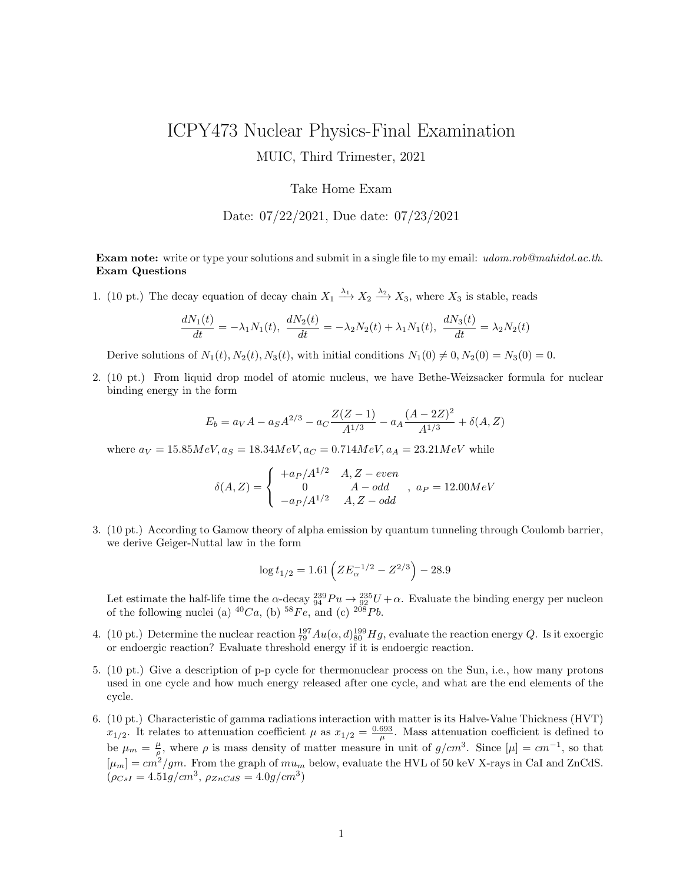## ICPY473 Nuclear Physics-Final Examination MUIC, Third Trimester, 2021

## Take Home Exam

Date: 07/22/2021, Due date: 07/23/2021

Exam note: write or type your solutions and submit in a single file to my email: udom.rob@mahidol.ac.th. Exam Questions

1. (10 pt.) The decay equation of decay chain  $X_1 \xrightarrow{\lambda_1} X_2 \xrightarrow{\lambda_2} X_3$ , where  $X_3$  is stable, reads

$$
\frac{dN_1(t)}{dt} = -\lambda_1 N_1(t), \quad \frac{dN_2(t)}{dt} = -\lambda_2 N_2(t) + \lambda_1 N_1(t), \quad \frac{dN_3(t)}{dt} = \lambda_2 N_2(t)
$$

Derive solutions of  $N_1(t)$ ,  $N_2(t)$ ,  $N_3(t)$ , with initial conditions  $N_1(0) \neq 0$ ,  $N_2(0) = N_3(0) = 0$ .

2. (10 pt.) From liquid drop model of atomic nucleus, we have Bethe-Weizsacker formula for nuclear binding energy in the form

$$
E_b = a_V A - a_S A^{2/3} - a_C \frac{Z(Z-1)}{A^{1/3}} - a_A \frac{(A-2Z)^2}{A^{1/3}} + \delta(A, Z)
$$

where  $a_V = 15.85MeV, a_S = 18.34MeV, a_C = 0.714MeV, a_A = 23.21MeV$  while

$$
\delta(A, Z) = \begin{cases}\n+ a_P / A^{1/2} & A, Z - even \\
0 & A - odd \\
-a_P / A^{1/2} & A, Z - odd\n\end{cases}, \quad a_P = 12.00 MeV
$$

3. (10 pt.) According to Gamow theory of alpha emission by quantum tunneling through Coulomb barrier, we derive Geiger-Nuttal law in the form

$$
\log t_{1/2} = 1.61 \left( Z E_{\alpha}^{-1/2} - Z^{2/3} \right) - 28.9
$$

Let estimate the half-life time the  $\alpha$ -decay  $^{239}_{94}Pu \to ^{235}_{92}U + \alpha$ . Evaluate the binding energy per nucleon of the following nuclei (a)  $^{40}Ca$ , (b)  $^{58}Fe$ , and (c)  $^{208}Pb$ .

- 4. (10 pt.) Determine the nuclear reaction  $_{79}^{197}Au(\alpha, d)_{80}^{199}Hg$ , evaluate the reaction energy Q. Is it exoergic or endoergic reaction? Evaluate threshold energy if it is endoergic reaction.
- 5. (10 pt.) Give a description of p-p cycle for thermonuclear process on the Sun, i.e., how many protons used in one cycle and how much energy released after one cycle, and what are the end elements of the cycle.
- 6. (10 pt.) Characteristic of gamma radiations interaction with matter is its Halve-Value Thickness (HVT)  $x_{1/2}$ . It relates to attenuation coefficient  $\mu$  as  $x_{1/2} = \frac{0.693}{\mu}$ . Mass attenuation coefficient is defined to be  $\mu_m = \frac{\mu}{\rho}$ , where  $\rho$  is mass density of matter measure in unit of  $g/cm^3$ . Since  $[\mu] = cm^{-1}$ , so that  $[\mu_m] = cm^2/gm$ . From the graph of  $mu_m$  below, evaluate the HVL of 50 keV X-rays in CaI and ZnCdS.  $(\rho_{CsI} = 4.51g/cm^3, \ \rho_{ZnCdS} = 4.0g/cm^3)$